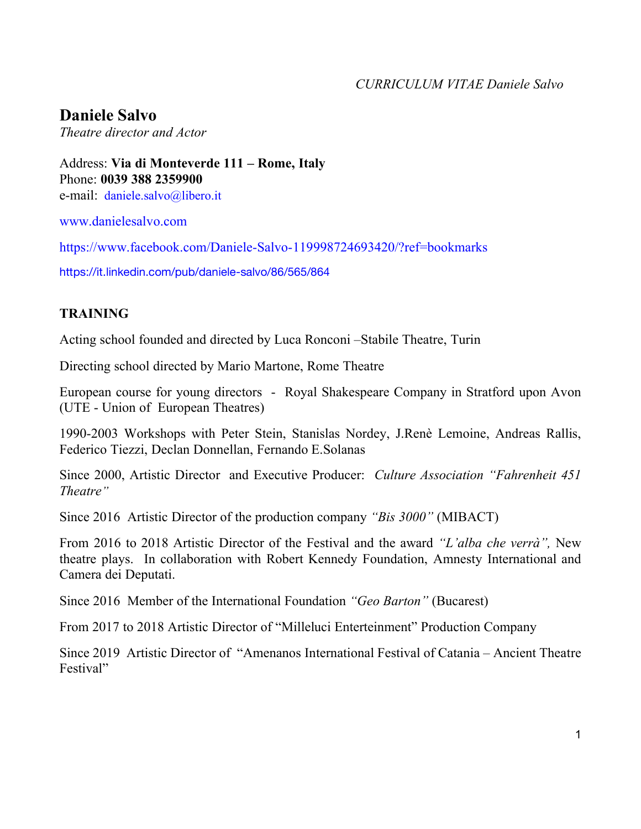**Daniele Salvo**

*Theatre director and Actor* 

Address: **Via di Monteverde 111 – Rome, Italy** Phone: **0039 388 2359900** e-mail: daniele.salvo@libero.it

www.danielesalvo.com

https://www.facebook.com/Daniele-Salvo-119998724693420/?ref=bookmarks

https://it.linkedin.com/pub/daniele-salvo/86/565/864

## **TRAINING**

Acting school founded and directed by Luca Ronconi –Stabile Theatre, Turin

Directing school directed by Mario Martone, Rome Theatre

European course for young directors - Royal Shakespeare Company in Stratford upon Avon (UTE - Union of European Theatres)

1990-2003 Workshops with Peter Stein, Stanislas Nordey, J.Renè Lemoine, Andreas Rallis, Federico Tiezzi, Declan Donnellan, Fernando E.Solanas

Since 2000, Artistic Director and Executive Producer: *Culture Association "Fahrenheit 451 Theatre"*

Since 2016 Artistic Director of the production company *"Bis 3000"* (MIBACT)

From 2016 to 2018 Artistic Director of the Festival and the award *"L'alba che verrà",* New theatre plays. In collaboration with Robert Kennedy Foundation, Amnesty International and Camera dei Deputati.

Since 2016 Member of the International Foundation *"Geo Barton"* (Bucarest)

From 2017 to 2018 Artistic Director of "Milleluci Enterteinment" Production Company

Since 2019 Artistic Director of "Amenanos International Festival of Catania – Ancient Theatre Festival"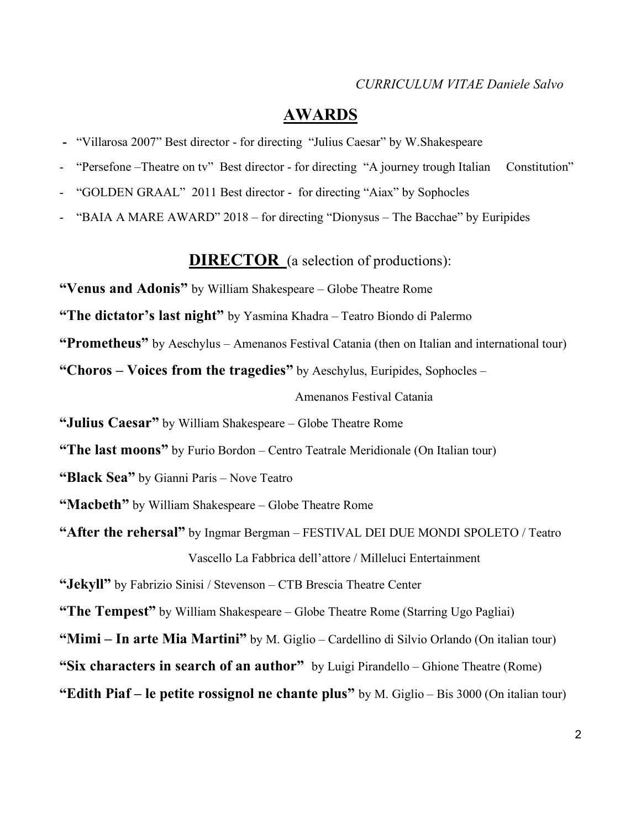## **AWARDS**

- "Villarosa 2007" Best director for directing "Julius Caesar" by W.Shakespeare
- "Persefone –Theatre on tv" Best director for directing "A journey trough Italian Constitution"
- "GOLDEN GRAAL" 2011 Best director for directing "Aiax" by Sophocles
- "BAIA A MARE AWARD" 2018 for directing "Dionysus The Bacchae" by Euripides

## **DIRECTOR** (a selection of productions):

**"Venus and Adonis"** by William Shakespeare – Globe Theatre Rome

**"The dictator's last night"** by Yasmina Khadra – Teatro Biondo di Palermo

**"Prometheus"** by Aeschylus – Amenanos Festival Catania (then on Italian and international tour)

**"Choros – Voices from the tragedies"** by Aeschylus, Euripides, Sophocles –

Amenanos Festival Catania

**"Julius Caesar"** by William Shakespeare – Globe Theatre Rome

**"The last moons"** by Furio Bordon – Centro Teatrale Meridionale (On Italian tour)

**"Black Sea"** by Gianni Paris – Nove Teatro

**"Macbeth"** by William Shakespeare – Globe Theatre Rome

**"After the rehersal"** by Ingmar Bergman – FESTIVAL DEI DUE MONDI SPOLETO / Teatro Vascello La Fabbrica dell'attore / Milleluci Entertainment

**"Jekyll"** by Fabrizio Sinisi / Stevenson – CTB Brescia Theatre Center

**"The Tempest"** by William Shakespeare – Globe Theatre Rome (Starring Ugo Pagliai)

**"Mimi – In arte Mia Martini"** by M. Giglio – Cardellino di Silvio Orlando (On italian tour)

**"Six characters in search of an author"** by Luigi Pirandello – Ghione Theatre (Rome)

**"Edith Piaf – le petite rossignol ne chante plus"** by M. Giglio – Bis 3000 (On italian tour)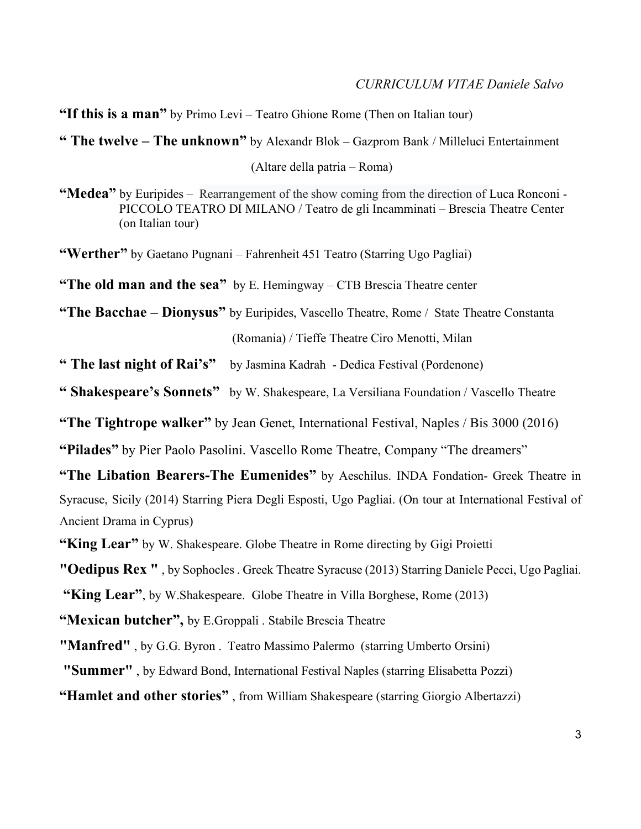**"If this is a man"** by Primo Levi – Teatro Ghione Rome (Then on Italian tour)

**" The twelve – The unknown"** by Alexandr Blok – Gazprom Bank / Milleluci Entertainment

(Altare della patria – Roma)

**"Medea"** by Euripides – Rearrangement of the show coming from the direction of Luca Ronconi - PICCOLO TEATRO DI MILANO / Teatro de gli Incamminati – Brescia Theatre Center (on Italian tour)

**"Werther"** by Gaetano Pugnani – Fahrenheit 451 Teatro (Starring Ugo Pagliai)

**"The old man and the sea"** by E. Hemingway – CTB Brescia Theatre center

**"The Bacchae – Dionysus"** by Euripides, Vascello Theatre, Rome / State Theatre Constanta (Romania) / Tieffe Theatre Ciro Menotti, Milan

**" The last night of Rai's"** by Jasmina Kadrah - Dedica Festival (Pordenone)

**" Shakespeare's Sonnets"** by W. Shakespeare, La Versiliana Foundation / Vascello Theatre

**"The Tightrope walker"** by Jean Genet, International Festival, Naples / Bis 3000 (2016)

**"Pilades"** by Pier Paolo Pasolini. Vascello Rome Theatre, Company "The dreamers"

**"The Libation Bearers-The Eumenides"** by Aeschilus. INDA Fondation- Greek Theatre in Syracuse, Sicily (2014) Starring Piera Degli Esposti, Ugo Pagliai. (On tour at International Festival of Ancient Drama in Cyprus)

**"King Lear"** by W. Shakespeare. Globe Theatre in Rome directing by Gigi Proietti

**"Oedipus Rex "** , by Sophocles . Greek Theatre Syracuse (2013) Starring Daniele Pecci, Ugo Pagliai.

**"King Lear"**, by W.Shakespeare. Globe Theatre in Villa Borghese, Rome (2013)

**"Mexican butcher",** by E.Groppali . Stabile Brescia Theatre

**"Manfred"** , by G.G. Byron . Teatro Massimo Palermo (starring Umberto Orsini)

**"Summer"** , by Edward Bond, International Festival Naples (starring Elisabetta Pozzi)

**"Hamlet and other stories"** , from William Shakespeare (starring Giorgio Albertazzi)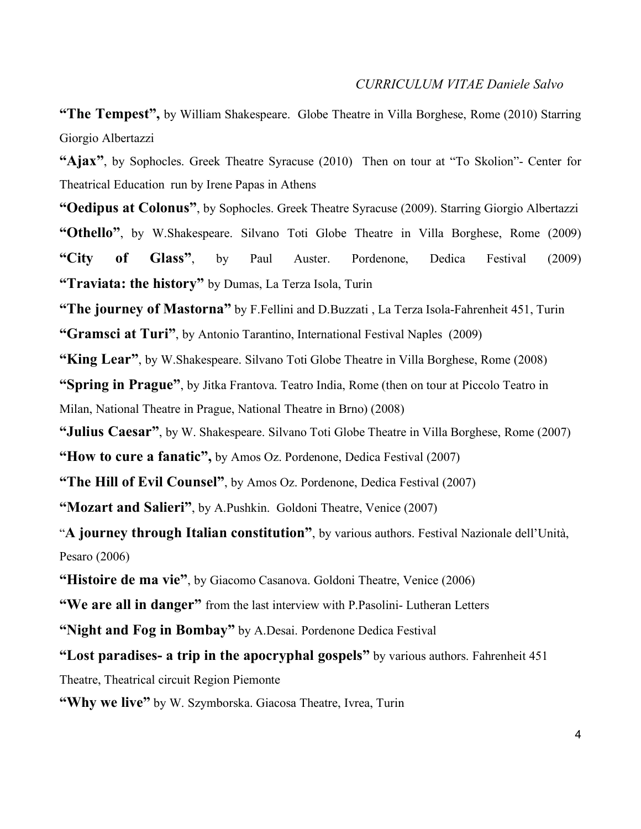**"The Tempest",** by William Shakespeare. Globe Theatre in Villa Borghese, Rome (2010) Starring Giorgio Albertazzi

**"Ajax"**, by Sophocles. Greek Theatre Syracuse (2010) Then on tour at "To Skolion"- Center for Theatrical Education run by Irene Papas in Athens

**"Oedipus at Colonus"**, by Sophocles. Greek Theatre Syracuse (2009). Starring Giorgio Albertazzi **"Othello"**, by W.Shakespeare. Silvano Toti Globe Theatre in Villa Borghese, Rome (2009) **"City of Glass"**, by Paul Auster. Pordenone, Dedica Festival (2009) **"Traviata: the history"** by Dumas, La Terza Isola, Turin

**"The journey of Mastorna"** by F.Fellini and D.Buzzati , La Terza Isola-Fahrenheit 451, Turin

**"Gramsci at Turi"**, by Antonio Tarantino, International Festival Naples (2009)

**"King Lear"**, by W.Shakespeare. Silvano Toti Globe Theatre in Villa Borghese, Rome (2008)

**"Spring in Prague"**, by Jitka Frantova. Teatro India, Rome (then on tour at Piccolo Teatro in Milan, National Theatre in Prague, National Theatre in Brno) (2008)

**"Julius Caesar"**, by W. Shakespeare. Silvano Toti Globe Theatre in Villa Borghese, Rome (2007)

**"How to cure a fanatic",** by Amos Oz. Pordenone, Dedica Festival (2007)

**"The Hill of Evil Counsel"**, by Amos Oz. Pordenone, Dedica Festival (2007)

**"Mozart and Salieri"**, by A.Pushkin. Goldoni Theatre, Venice (2007)

"**A journey through Italian constitution"**, by various authors. Festival Nazionale dell'Unità, Pesaro (2006)

**"Histoire de ma vie"**, by Giacomo Casanova. Goldoni Theatre, Venice (2006)

**"We are all in danger"** from the last interview with P.Pasolini- Lutheran Letters

**"Night and Fog in Bombay"** by A.Desai. Pordenone Dedica Festival

**"Lost paradises- a trip in the apocryphal gospels"** by various authors. Fahrenheit 451

Theatre, Theatrical circuit Region Piemonte

"Why we live" by W. Szymborska. Giacosa Theatre, Ivrea, Turin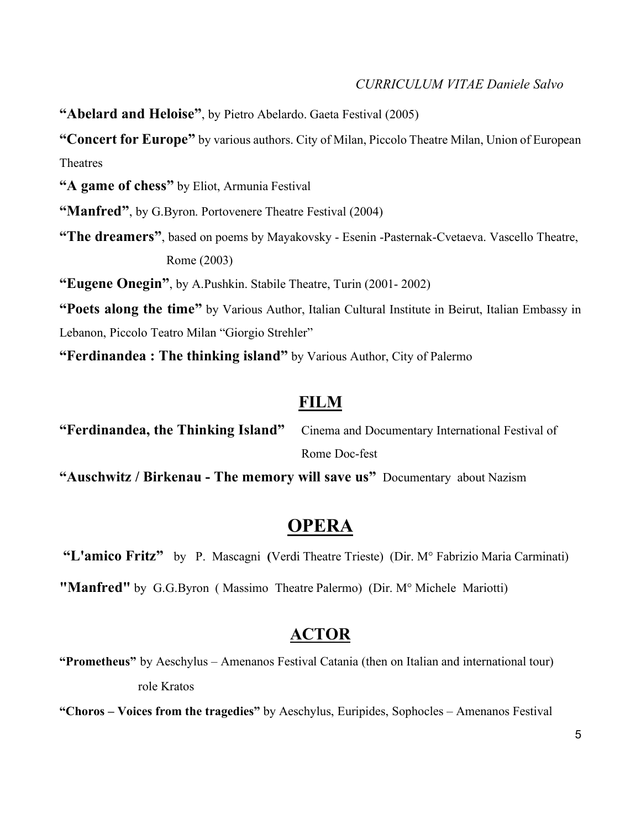**"Abelard and Heloise"**, by Pietro Abelardo. Gaeta Festival (2005)

**"Concert for Europe"** by various authors. City of Milan, Piccolo Theatre Milan, Union of European Theatres

**"A game of chess"** by Eliot, Armunia Festival

**"Manfred"**, by G.Byron. Portovenere Theatre Festival (2004)

**"The dreamers"**, based on poems by Mayakovsky - Esenin -Pasternak-Cvetaeva. Vascello Theatre, Rome (2003)

**"Eugene Onegin"**, by A.Pushkin. Stabile Theatre, Turin (2001- 2002)

**"Poets along the time"** by Various Author, Italian Cultural Institute in Beirut, Italian Embassy in Lebanon, Piccolo Teatro Milan "Giorgio Strehler"

**"Ferdinandea : The thinking island"** by Various Author, City of Palermo

# **FILM**

**"Ferdinandea, the Thinking Island"** Cinema and Documentary International Festival of Rome Doc-fest

**"Auschwitz / Birkenau - The memory will save us"** Documentary about Nazism

# **OPERA**

**"L'amico Fritz"** by P. Mascagni **(**Verdi Theatre Trieste) (Dir. M° Fabrizio Maria Carminati)

**"Manfred"** by G.G.Byron ( Massimo Theatre Palermo) (Dir. M° Michele Mariotti)

## **ACTOR**

**"Prometheus"** by Aeschylus – Amenanos Festival Catania (then on Italian and international tour) role Kratos

**"Choros – Voices from the tragedies"** by Aeschylus, Euripides, Sophocles – Amenanos Festival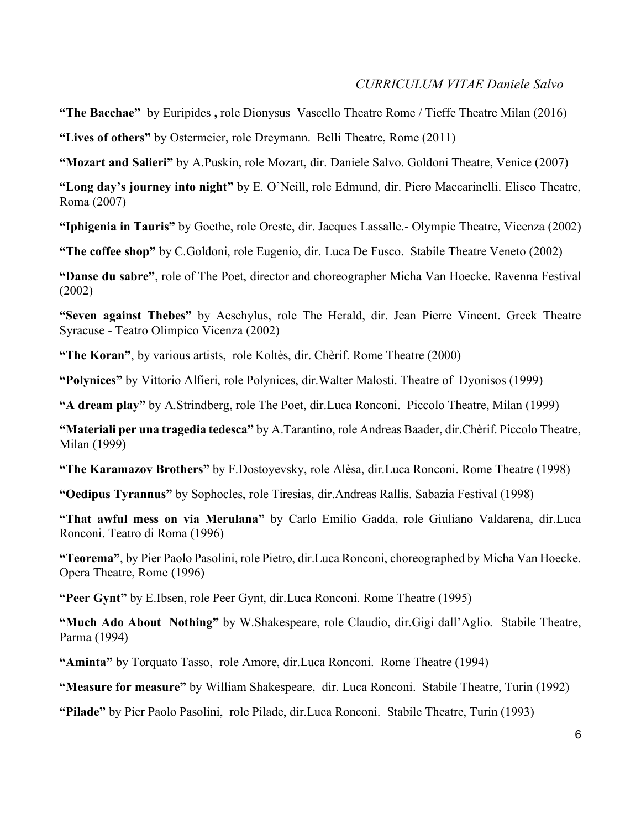**"The Bacchae"** by Euripides **,** role DionysusVascello Theatre Rome / Tieffe Theatre Milan (2016) **"Lives of others"** by Ostermeier, role Dreymann. Belli Theatre, Rome (2011)

**"Mozart and Salieri"** by A.Puskin, role Mozart, dir. Daniele Salvo. Goldoni Theatre, Venice (2007)

**"Long day's journey into night"** by E. O'Neill, role Edmund, dir. Piero Maccarinelli. Eliseo Theatre, Roma (2007)

**"Iphigenia in Tauris"** by Goethe, role Oreste, dir. Jacques Lassalle.- Olympic Theatre, Vicenza (2002)

**"The coffee shop"** by C.Goldoni, role Eugenio, dir. Luca De Fusco. Stabile Theatre Veneto (2002)

**"Danse du sabre"**, role of The Poet, director and choreographer Micha Van Hoecke. Ravenna Festival (2002)

**"Seven against Thebes"** by Aeschylus, role The Herald, dir. Jean Pierre Vincent. Greek Theatre Syracuse - Teatro Olimpico Vicenza (2002)

**"The Koran"**, by various artists, role Koltès, dir. Chèrif. Rome Theatre (2000)

**"Polynices"** by Vittorio Alfieri, role Polynices, dir.Walter Malosti. Theatre of Dyonisos (1999)

**"A dream play"** by A.Strindberg, role The Poet, dir.Luca Ronconi. Piccolo Theatre, Milan (1999)

**"Materiali per una tragedia tedesca"** by A.Tarantino, role Andreas Baader, dir.Chèrif. Piccolo Theatre, Milan (1999)

**"The Karamazov Brothers"** by F.Dostoyevsky, role Alèsa, dir.Luca Ronconi. Rome Theatre (1998)

**"Oedipus Tyrannus"** by Sophocles, role Tiresias, dir.Andreas Rallis. Sabazia Festival (1998)

**"That awful mess on via Merulana"** by Carlo Emilio Gadda, role Giuliano Valdarena, dir.Luca Ronconi. Teatro di Roma (1996)

**"Teorema"**, by Pier Paolo Pasolini, role Pietro, dir.Luca Ronconi, choreographed by Micha Van Hoecke. Opera Theatre, Rome (1996)

**"Peer Gynt"** by E.Ibsen, role Peer Gynt, dir.Luca Ronconi. Rome Theatre (1995)

**"Much Ado About Nothing"** by W.Shakespeare, role Claudio, dir.Gigi dall'Aglio. Stabile Theatre, Parma (1994)

**"Aminta"** by Torquato Tasso, role Amore, dir.Luca Ronconi. Rome Theatre (1994)

**"Measure for measure"** by William Shakespeare, dir. Luca Ronconi. Stabile Theatre, Turin (1992)

**"Pilade"** by Pier Paolo Pasolini, role Pilade, dir.Luca Ronconi. Stabile Theatre, Turin (1993)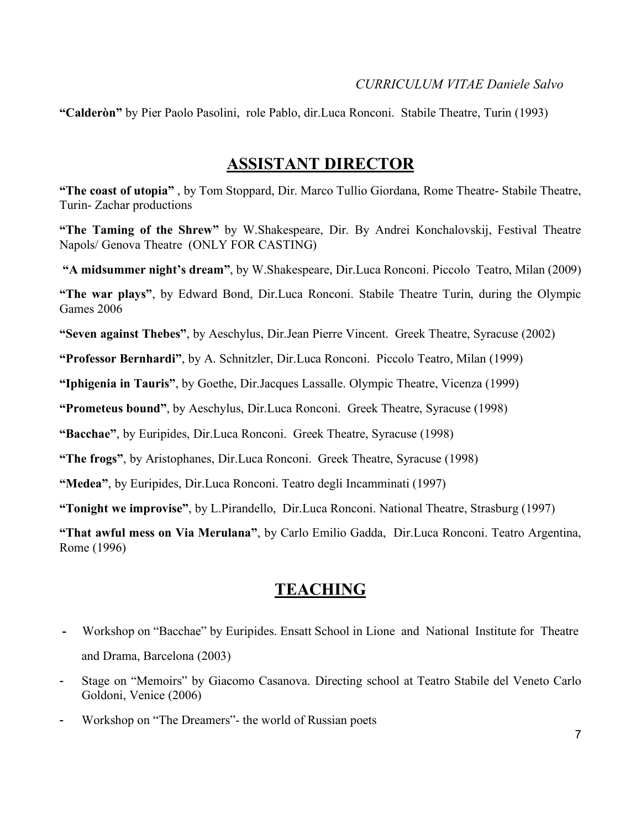**"Calderòn"** by Pier Paolo Pasolini, role Pablo, dir.Luca Ronconi. Stabile Theatre, Turin (1993)

## **ASSISTANT DIRECTOR**

**"The coast of utopia"** , by Tom Stoppard, Dir. Marco Tullio Giordana, Rome Theatre- Stabile Theatre, Turin- Zachar productions

**"The Taming of the Shrew"** by W.Shakespeare, Dir. By Andrei Konchalovskij, Festival Theatre Napols/ Genova Theatre (ONLY FOR CASTING)

**"A midsummer night's dream"**, by W.Shakespeare, Dir.Luca Ronconi. Piccolo Teatro, Milan (2009)

**"The war plays"**, by Edward Bond, Dir.Luca Ronconi. Stabile Theatre Turin, during the Olympic Games 2006

**"Seven against Thebes"**, by Aeschylus, Dir.Jean Pierre Vincent. Greek Theatre, Syracuse (2002)

**"Professor Bernhardi"**, by A. Schnitzler, Dir.Luca Ronconi. Piccolo Teatro, Milan (1999)

**"Iphigenia in Tauris"**, by Goethe, Dir.Jacques Lassalle. Olympic Theatre, Vicenza (1999)

**"Prometeus bound"**, by Aeschylus, Dir.Luca Ronconi. Greek Theatre, Syracuse (1998)

**"Bacchae"**, by Euripides, Dir.Luca Ronconi. Greek Theatre, Syracuse (1998)

**"The frogs"**, by Aristophanes, Dir.Luca Ronconi. Greek Theatre, Syracuse (1998)

**"Medea"**, by Euripides, Dir.Luca Ronconi. Teatro degli Incamminati (1997)

**"Tonight we improvise"**, by L.Pirandello, Dir.Luca Ronconi. National Theatre, Strasburg (1997)

**"That awful mess on Via Merulana"**, by Carlo Emilio Gadda, Dir.Luca Ronconi. Teatro Argentina, Rome (1996)

# **TEACHING**

- Workshop on "Bacchae" by Euripides. Ensatt School in Lione and National Institute for Theatre and Drama, Barcelona (2003)
- Stage on "Memoirs" by Giacomo Casanova. Directing school at Teatro Stabile del Veneto Carlo Goldoni, Venice (2006)
- Workshop on "The Dreamers"- the world of Russian poets